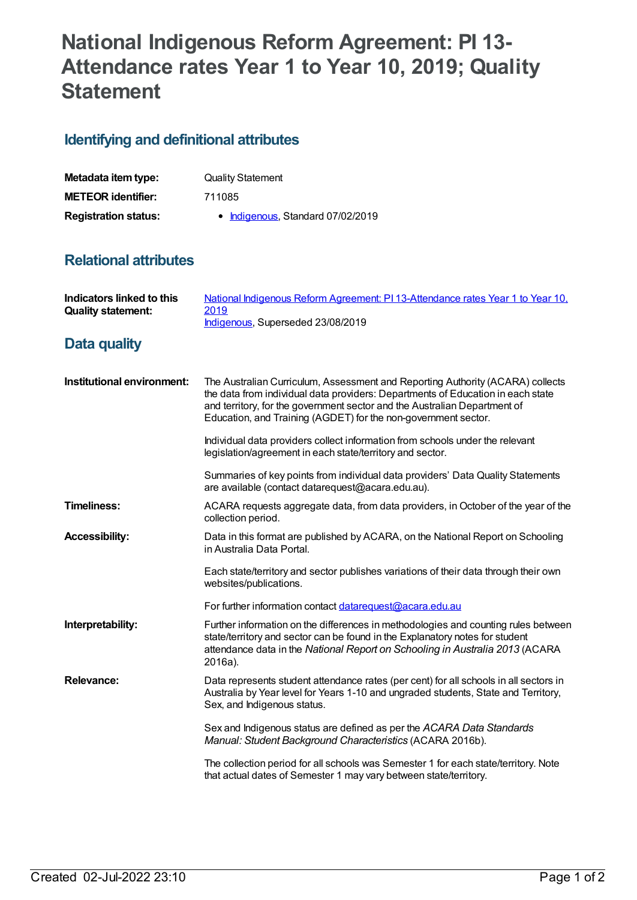## **National Indigenous Reform Agreement: PI 13- Attendance rates Year 1 to Year 10, 2019; Quality Statement**

## **Identifying and definitional attributes**

| Metadata item type:         | <b>Quality Statement</b>          |
|-----------------------------|-----------------------------------|
| <b>METEOR identifier:</b>   | 711085                            |
| <b>Registration status:</b> | • Indigenous, Standard 07/02/2019 |

## **Relational attributes**

| Indicators linked to this<br><b>Quality statement:</b> | National Indigenous Reform Agreement: PI 13-Attendance rates Year 1 to Year 10,<br>2019<br>Indigenous, Superseded 23/08/2019                                                                                                                                                                                     |
|--------------------------------------------------------|------------------------------------------------------------------------------------------------------------------------------------------------------------------------------------------------------------------------------------------------------------------------------------------------------------------|
| <b>Data quality</b>                                    |                                                                                                                                                                                                                                                                                                                  |
| Institutional environment:                             | The Australian Curriculum, Assessment and Reporting Authority (ACARA) collects<br>the data from individual data providers: Departments of Education in each state<br>and territory, for the government sector and the Australian Department of<br>Education, and Training (AGDET) for the non-government sector. |
|                                                        | Individual data providers collect information from schools under the relevant<br>legislation/agreement in each state/territory and sector.                                                                                                                                                                       |
|                                                        | Summaries of key points from individual data providers' Data Quality Statements<br>are available (contact datarequest@acara.edu.au).                                                                                                                                                                             |
| <b>Timeliness:</b>                                     | ACARA requests aggregate data, from data providers, in October of the year of the<br>collection period.                                                                                                                                                                                                          |
| <b>Accessibility:</b>                                  | Data in this format are published by ACARA, on the National Report on Schooling<br>in Australia Data Portal.                                                                                                                                                                                                     |
|                                                        | Each state/territory and sector publishes variations of their data through their own<br>websites/publications.                                                                                                                                                                                                   |
|                                                        | For further information contact datarequest@acara.edu.au                                                                                                                                                                                                                                                         |
| Interpretability:                                      | Further information on the differences in methodologies and counting rules between<br>state/territory and sector can be found in the Explanatory notes for student<br>attendance data in the National Report on Schooling in Australia 2013 (ACARA<br>2016a).                                                    |
| <b>Relevance:</b>                                      | Data represents student attendance rates (per cent) for all schools in all sectors in<br>Australia by Year level for Years 1-10 and ungraded students, State and Territory,<br>Sex, and Indigenous status.                                                                                                       |
|                                                        | Sex and Indigenous status are defined as per the ACARA Data Standards<br>Manual: Student Background Characteristics (ACARA 2016b).                                                                                                                                                                               |
|                                                        | The collection period for all schools was Semester 1 for each state/territory. Note<br>that actual dates of Semester 1 may vary between state/territory.                                                                                                                                                         |